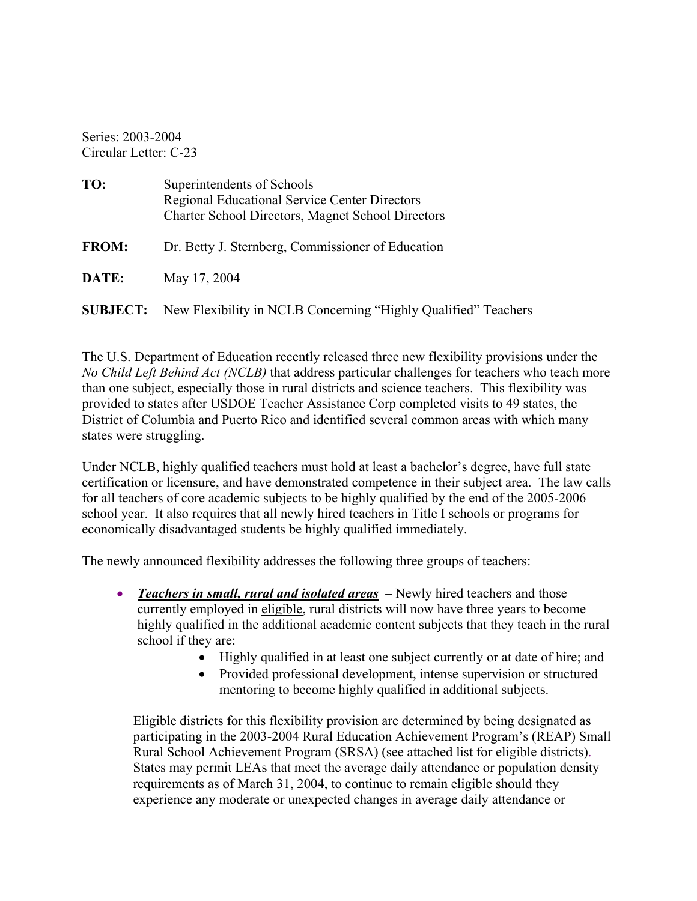Series: 2003-2004 Circular Letter: C-23

| TO:          | Superintendents of Schools<br><b>Regional Educational Service Center Directors</b><br><b>Charter School Directors, Magnet School Directors</b> |
|--------------|------------------------------------------------------------------------------------------------------------------------------------------------|
| <b>FROM:</b> | Dr. Betty J. Sternberg, Commissioner of Education                                                                                              |
| DATE:        | May 17, 2004                                                                                                                                   |
|              | <b>SUBJECT:</b> New Flexibility in NCLB Concerning "Highly Qualified" Teachers                                                                 |

The U.S. Department of Education recently released three new flexibility provisions under the *No Child Left Behind Act (NCLB)* that address particular challenges for teachers who teach more than one subject, especially those in rural districts and science teachers. This flexibility was provided to states after USDOE Teacher Assistance Corp completed visits to 49 states, the District of Columbia and Puerto Rico and identified several common areas with which many states were struggling.

Under NCLB, highly qualified teachers must hold at least a bachelor's degree, have full state certification or licensure, and have demonstrated competence in their subject area. The law calls for all teachers of core academic subjects to be highly qualified by the end of the 2005-2006 school year. It also requires that all newly hired teachers in Title I schools or programs for economically disadvantaged students be highly qualified immediately.

The newly announced flexibility addresses the following three groups of teachers:

- *Teachers in small, rural and isolated areas* Newly hired teachers and those currently employed in eligible, rural districts will now have three years to become highly qualified in the additional academic content subjects that they teach in the rural school if they are:
	- Highly qualified in at least one subject currently or at date of hire; and
	- Provided professional development, intense supervision or structured mentoring to become highly qualified in additional subjects.

Eligible districts for this flexibility provision are determined by being designated as participating in the 2003-2004 Rural Education Achievement Program's (REAP) Small Rural School Achievement Program (SRSA) (see attached list for eligible districts). States may permit LEAs that meet the average daily attendance or population density requirements as of March 31, 2004, to continue to remain eligible should they experience any moderate or unexpected changes in average daily attendance or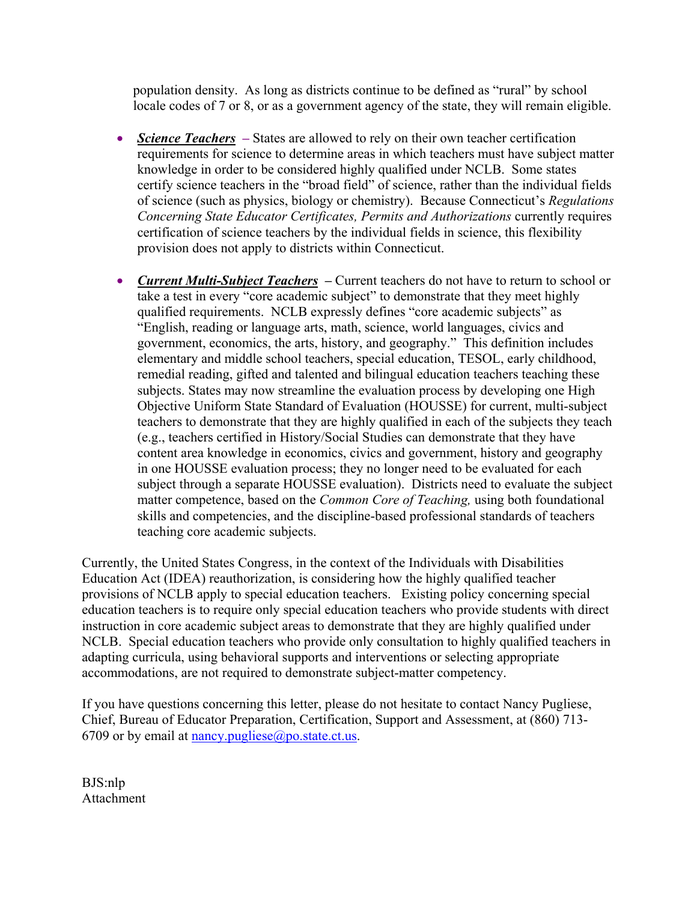population density. As long as districts continue to be defined as "rural" by school locale codes of 7 or 8, or as a government agency of the state, they will remain eligible.

- *Science Teachers* **–** States are allowed to rely on their own teacher certification requirements for science to determine areas in which teachers must have subject matter knowledge in order to be considered highly qualified under NCLB. Some states certify science teachers in the "broad field" of science, rather than the individual fields of science (such as physics, biology or chemistry). Because Connecticut's *Regulations Concerning State Educator Certificates, Permits and Authorizations* currently requires certification of science teachers by the individual fields in science, this flexibility provision does not apply to districts within Connecticut.
- *Current Multi-Subject Teachers* Current teachers do not have to return to school or take a test in every "core academic subject" to demonstrate that they meet highly qualified requirements. NCLB expressly defines "core academic subjects" as "English, reading or language arts, math, science, world languages, civics and government, economics, the arts, history, and geography." This definition includes elementary and middle school teachers, special education, TESOL, early childhood, remedial reading, gifted and talented and bilingual education teachers teaching these subjects. States may now streamline the evaluation process by developing one High Objective Uniform State Standard of Evaluation (HOUSSE) for current, multi-subject teachers to demonstrate that they are highly qualified in each of the subjects they teach (e.g., teachers certified in History/Social Studies can demonstrate that they have content area knowledge in economics, civics and government, history and geography in one HOUSSE evaluation process; they no longer need to be evaluated for each subject through a separate HOUSSE evaluation). Districts need to evaluate the subject matter competence, based on the *Common Core of Teaching,* using both foundational skills and competencies, and the discipline-based professional standards of teachers teaching core academic subjects.

Currently, the United States Congress, in the context of the Individuals with Disabilities Education Act (IDEA) reauthorization, is considering how the highly qualified teacher provisions of NCLB apply to special education teachers. Existing policy concerning special education teachers is to require only special education teachers who provide students with direct instruction in core academic subject areas to demonstrate that they are highly qualified under NCLB. Special education teachers who provide only consultation to highly qualified teachers in adapting curricula, using behavioral supports and interventions or selecting appropriate accommodations, are not required to demonstrate subject-matter competency.

If you have questions concerning this letter, please do not hesitate to contact Nancy Pugliese, Chief, Bureau of Educator Preparation, Certification, Support and Assessment, at (860) 713 6709 or by email at [nancy.pugliese@po.state.ct.us.](mailto:nancy.pugliese@po.state.ct.us)

BJS:nlp Attachment